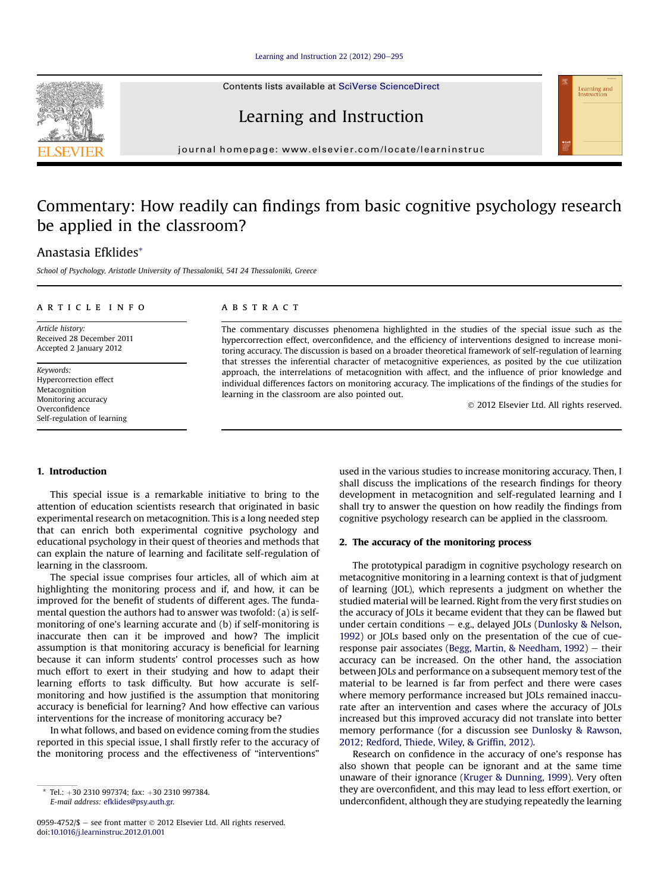#### Learning and Instruction  $22(2012) 290 - 295$  $22(2012) 290 - 295$

Contents lists available at SciVerse ScienceDirect



Learning and Instruction

journal homepage: [www.elsevier.com/locate/learninstruc](http://www.elsevier.com/locate/learninstruc)

## Commentary: How readily can findings from basic cognitive psychology research be applied in the classroom?

### Anastasia Efklides\*

School of Psychology, Aristotle University of Thessaloniki, 541 24 Thessaloniki, Greece

#### article info

Article history: Received 28 December 2011 Accepted 2 January 2012

Keywords: Hypercorrection effect Metacognition Monitoring accuracy Overconfidence Self-regulation of learning

#### **ABSTRACT**

The commentary discusses phenomena highlighted in the studies of the special issue such as the hypercorrection effect, overconfidence, and the efficiency of interventions designed to increase monitoring accuracy. The discussion is based on a broader theoretical framework of self-regulation of learning that stresses the inferential character of metacognitive experiences, as posited by the cue utilization approach, the interrelations of metacognition with affect, and the influence of prior knowledge and individual differences factors on monitoring accuracy. The implications of the findings of the studies for learning in the classroom are also pointed out.

2012 Elsevier Ltd. All rights reserved.

earning a

#### 1. Introduction

This special issue is a remarkable initiative to bring to the attention of education scientists research that originated in basic experimental research on metacognition. This is a long needed step that can enrich both experimental cognitive psychology and educational psychology in their quest of theories and methods that can explain the nature of learning and facilitate self-regulation of learning in the classroom.

The special issue comprises four articles, all of which aim at highlighting the monitoring process and if, and how, it can be improved for the benefit of students of different ages. The fundamental question the authors had to answer was twofold: (a) is selfmonitoring of one's learning accurate and (b) if self-monitoring is inaccurate then can it be improved and how? The implicit assumption is that monitoring accuracy is beneficial for learning because it can inform students' control processes such as how much effort to exert in their studying and how to adapt their learning efforts to task difficulty. But how accurate is selfmonitoring and how justified is the assumption that monitoring accuracy is beneficial for learning? And how effective can various interventions for the increase of monitoring accuracy be?

In what follows, and based on evidence coming from the studies reported in this special issue, I shall firstly refer to the accuracy of the monitoring process and the effectiveness of "interventions"

0959-4752/\$ - see front matter  $\odot$  2012 Elsevier Ltd. All rights reserved. doi:[10.1016/j.learninstruc.2012.01.001](http://dx.doi.org/10.1016/j.learninstruc.2012.01.001)

used in the various studies to increase monitoring accuracy. Then, I shall discuss the implications of the research findings for theory development in metacognition and self-regulated learning and I shall try to answer the question on how readily the findings from cognitive psychology research can be applied in the classroom.

#### 2. The accuracy of the monitoring process

The prototypical paradigm in cognitive psychology research on metacognitive monitoring in a learning context is that of judgment of learning (JOL), which represents a judgment on whether the studied material will be learned. Right from the very first studies on the accuracy of JOLs it became evident that they can be flawed but under certain conditions  $-$  e.g., delayed JOLs (Dunlosky & Nelson, 1992) or JOLs based only on the presentation of the cue of cueresponse pair associates (Begg, Martin, & Needham,  $1992$ ) – their accuracy can be increased. On the other hand, the association between JOLs and performance on a subsequent memory test of the material to be learned is far from perfect and there were cases where memory performance increased but JOLs remained inaccurate after an intervention and cases where the accuracy of JOLs increased but this improved accuracy did not translate into better memory performance (for a discussion see Dunlosky & Rawson, 2012; Redford, Thiede, Wiley, & Griffin, 2012).

Research on confidence in the accuracy of one's response has also shown that people can be ignorant and at the same time unaware of their ignorance (Kruger & Dunning, 1999). Very often they are overconfident, and this may lead to less effort exertion, or underconfident, although they are studying repeatedly the learning

Tel.: +30 2310 997374; fax: +30 2310 997384. E-mail address: [efklides@psy.auth.gr.](mailto:efklides@psy.auth.gr)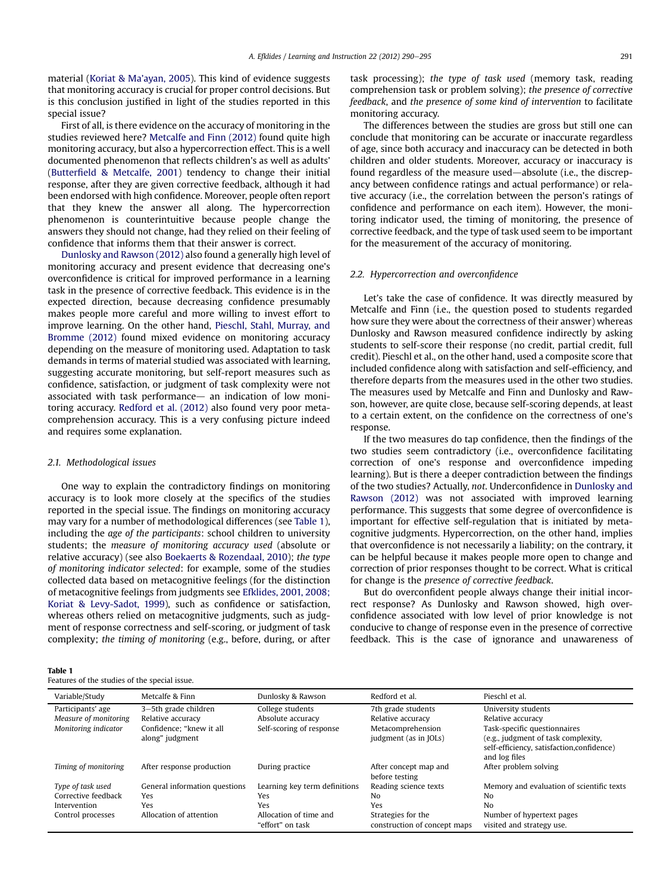material (Koriat & Ma'ayan, 2005). This kind of evidence suggests that monitoring accuracy is crucial for proper control decisions. But is this conclusion justified in light of the studies reported in this special issue?

First of all, is there evidence on the accuracy of monitoring in the studies reviewed here? Metcalfe and Finn (2012) found quite high monitoring accuracy, but also a hypercorrection effect. This is a well documented phenomenon that reflects children's as well as adults' (Butterfield & Metcalfe, 2001) tendency to change their initial response, after they are given corrective feedback, although it had been endorsed with high confidence. Moreover, people often report that they knew the answer all along. The hypercorrection phenomenon is counterintuitive because people change the answers they should not change, had they relied on their feeling of confidence that informs them that their answer is correct.

Dunlosky and Rawson (2012) also found a generally high level of monitoring accuracy and present evidence that decreasing one's overconfidence is critical for improved performance in a learning task in the presence of corrective feedback. This evidence is in the expected direction, because decreasing confidence presumably makes people more careful and more willing to invest effort to improve learning. On the other hand, Pieschl, Stahl, Murray, and Bromme (2012) found mixed evidence on monitoring accuracy depending on the measure of monitoring used. Adaptation to task demands in terms of material studied was associated with learning, suggesting accurate monitoring, but self-report measures such as confidence, satisfaction, or judgment of task complexity were not associated with task performance— an indication of low monitoring accuracy. Redford et al. (2012) also found very poor metacomprehension accuracy. This is a very confusing picture indeed and requires some explanation.

#### 2.1. Methodological issues

One way to explain the contradictory findings on monitoring accuracy is to look more closely at the specifics of the studies reported in the special issue. The findings on monitoring accuracy may vary for a number of methodological differences (see Table 1), including the age of the participants: school children to university students; the measure of monitoring accuracy used (absolute or relative accuracy) (see also Boekaerts & Rozendaal, 2010); the type of monitoring indicator selected: for example, some of the studies collected data based on metacognitive feelings (for the distinction of metacognitive feelings from judgments see Efklides, 2001, 2008; Koriat & Levy-Sadot, 1999), such as confidence or satisfaction, whereas others relied on metacognitive judgments, such as judgment of response correctness and self-scoring, or judgment of task complexity; the timing of monitoring (e.g., before, during, or after

| $\sim$<br>. . | $\sim$ |  |
|---------------|--------|--|
|---------------|--------|--|

| Features of the studies of the special issue. |  |  |  |  |  |  |  |
|-----------------------------------------------|--|--|--|--|--|--|--|
|-----------------------------------------------|--|--|--|--|--|--|--|

task processing); the type of task used (memory task, reading comprehension task or problem solving); the presence of corrective feedback, and the presence of some kind of intervention to facilitate monitoring accuracy.

The differences between the studies are gross but still one can conclude that monitoring can be accurate or inaccurate regardless of age, since both accuracy and inaccuracy can be detected in both children and older students. Moreover, accuracy or inaccuracy is found regardless of the measure used—absolute (i.e., the discrepancy between confidence ratings and actual performance) or relative accuracy (i.e., the correlation between the person's ratings of confidence and performance on each item). However, the monitoring indicator used, the timing of monitoring, the presence of corrective feedback, and the type of task used seem to be important for the measurement of the accuracy of monitoring.

#### 2.2. Hypercorrection and overconfidence

Let's take the case of confidence. It was directly measured by Metcalfe and Finn (i.e., the question posed to students regarded how sure they were about the correctness of their answer) whereas Dunlosky and Rawson measured confidence indirectly by asking students to self-score their response (no credit, partial credit, full credit). Pieschl et al., on the other hand, used a composite score that included confidence along with satisfaction and self-efficiency, and therefore departs from the measures used in the other two studies. The measures used by Metcalfe and Finn and Dunlosky and Rawson, however, are quite close, because self-scoring depends, at least to a certain extent, on the confidence on the correctness of one's response.

If the two measures do tap confidence, then the findings of the two studies seem contradictory (i.e., overconfidence facilitating correction of one's response and overconfidence impeding learning). But is there a deeper contradiction between the findings of the two studies? Actually, not. Underconfidence in Dunlosky and Rawson (2012) was not associated with improved learning performance. This suggests that some degree of overconfidence is important for effective self-regulation that is initiated by metacognitive judgments. Hypercorrection, on the other hand, implies that overconfidence is not necessarily a liability; on the contrary, it can be helpful because it makes people more open to change and correction of prior responses thought to be correct. What is critical for change is the presence of corrective feedback.

But do overconfident people always change their initial incorrect response? As Dunlosky and Rawson showed, high overconfidence associated with low level of prior knowledge is not conducive to change of response even in the presence of corrective feedback. This is the case of ignorance and unawareness of

| Variable/Study        | Metcalfe & Finn               | Dunlosky & Rawson             | Redford et al.               | Pieschl et al.                             |
|-----------------------|-------------------------------|-------------------------------|------------------------------|--------------------------------------------|
| Participants' age     | 3-5th grade children          | College students              | 7th grade students           | University students                        |
| Measure of monitoring | Relative accuracy             | Absolute accuracy             | Relative accuracy            | Relative accuracy                          |
| Monitoring indicator  | Confidence: "knew it all      | Self-scoring of response      | Metacomprehension            | Task-specific questionnaires               |
|                       | along" judgment               |                               | judgment (as in JOLs)        | (e.g., judgment of task complexity,        |
|                       |                               |                               |                              | self-efficiency, satisfaction, confidence) |
|                       |                               |                               |                              | and log files                              |
| Timing of monitoring  | After response production     | During practice               | After concept map and        | After problem solving                      |
|                       |                               |                               | before testing               |                                            |
| Type of task used     | General information questions | Learning key term definitions | Reading science texts        | Memory and evaluation of scientific texts  |
| Corrective feedback   | Yes                           | Yes                           | N <sub>0</sub>               | No                                         |
| Intervention          | Yes                           | <b>Yes</b>                    | Yes                          | No                                         |
| Control processes     | Allocation of attention       | Allocation of time and        | Strategies for the           | Number of hypertext pages                  |
|                       |                               | "effort" on task              | construction of concept maps | visited and strategy use.                  |